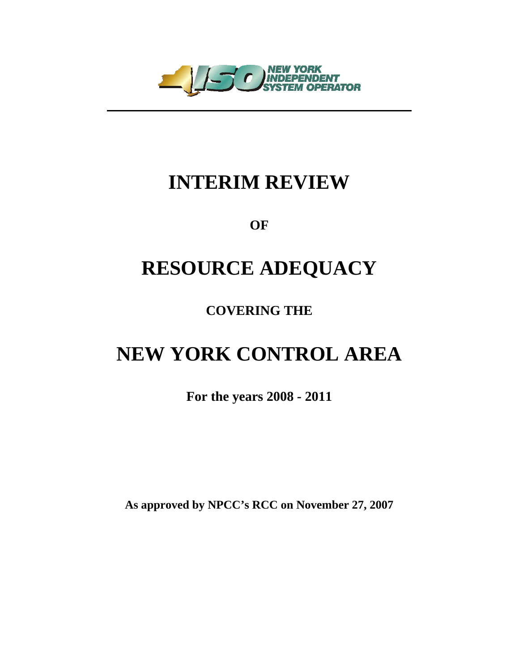

## **INTERIM REVIEW**

**OF** 

## **RESOURCE ADEQUACY**

**COVERING THE** 

# **NEW YORK CONTROL AREA**

**For the years 2008 - 2011** 

**As approved by NPCC's RCC on November 27, 2007**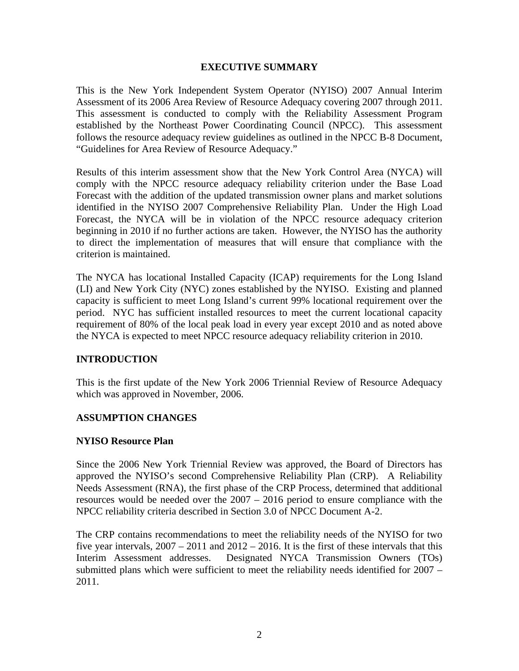#### **EXECUTIVE SUMMARY**

This is the New York Independent System Operator (NYISO) 2007 Annual Interim Assessment of its 2006 Area Review of Resource Adequacy covering 2007 through 2011. This assessment is conducted to comply with the Reliability Assessment Program established by the Northeast Power Coordinating Council (NPCC). This assessment follows the resource adequacy review guidelines as outlined in the NPCC B-8 Document, "Guidelines for Area Review of Resource Adequacy."

Results of this interim assessment show that the New York Control Area (NYCA) will comply with the NPCC resource adequacy reliability criterion under the Base Load Forecast with the addition of the updated transmission owner plans and market solutions identified in the NYISO 2007 Comprehensive Reliability Plan. Under the High Load Forecast, the NYCA will be in violation of the NPCC resource adequacy criterion beginning in 2010 if no further actions are taken. However, the NYISO has the authority to direct the implementation of measures that will ensure that compliance with the criterion is maintained.

The NYCA has locational Installed Capacity (ICAP) requirements for the Long Island (LI) and New York City (NYC) zones established by the NYISO. Existing and planned capacity is sufficient to meet Long Island's current 99% locational requirement over the period. NYC has sufficient installed resources to meet the current locational capacity requirement of 80% of the local peak load in every year except 2010 and as noted above the NYCA is expected to meet NPCC resource adequacy reliability criterion in 2010.

## **INTRODUCTION**

This is the first update of the New York 2006 Triennial Review of Resource Adequacy which was approved in November, 2006.

#### **ASSUMPTION CHANGES**

#### **NYISO Resource Plan**

Since the 2006 New York Triennial Review was approved, the Board of Directors has approved the NYISO's second Comprehensive Reliability Plan (CRP). A Reliability Needs Assessment (RNA), the first phase of the CRP Process, determined that additional resources would be needed over the 2007 – 2016 period to ensure compliance with the NPCC reliability criteria described in Section 3.0 of NPCC Document A-2.

The CRP contains recommendations to meet the reliability needs of the NYISO for two five year intervals,  $2007 - 2011$  and  $2012 - 2016$ . It is the first of these intervals that this Interim Assessment addresses. Designated NYCA Transmission Owners (TOs) submitted plans which were sufficient to meet the reliability needs identified for 2007 – 2011.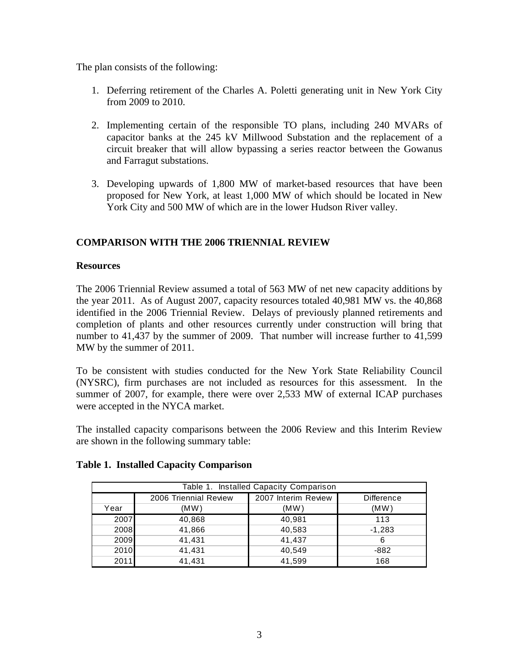The plan consists of the following:

- 1. Deferring retirement of the Charles A. Poletti generating unit in New York City from 2009 to 2010.
- 2. Implementing certain of the responsible TO plans, including 240 MVARs of capacitor banks at the 245 kV Millwood Substation and the replacement of a circuit breaker that will allow bypassing a series reactor between the Gowanus and Farragut substations.
- 3. Developing upwards of 1,800 MW of market-based resources that have been proposed for New York, at least 1,000 MW of which should be located in New York City and 500 MW of which are in the lower Hudson River valley.

## **COMPARISON WITH THE 2006 TRIENNIAL REVIEW**

#### **Resources**

The 2006 Triennial Review assumed a total of 563 MW of net new capacity additions by the year 2011. As of August 2007, capacity resources totaled 40,981 MW vs. the 40,868 identified in the 2006 Triennial Review. Delays of previously planned retirements and completion of plants and other resources currently under construction will bring that number to 41,437 by the summer of 2009. That number will increase further to 41,599 MW by the summer of 2011.

To be consistent with studies conducted for the New York State Reliability Council (NYSRC), firm purchases are not included as resources for this assessment. In the summer of 2007, for example, there were over 2,533 MW of external ICAP purchases were accepted in the NYCA market.

The installed capacity comparisons between the 2006 Review and this Interim Review are shown in the following summary table:

| Table 1. Installed Capacity Comparison |                       |                     |                   |  |
|----------------------------------------|-----------------------|---------------------|-------------------|--|
|                                        | 2006 Triennial Review | 2007 Interim Review | <b>Difference</b> |  |
| Year                                   | (MW)                  | (MW)                | (MW)              |  |
| 2007                                   | 40,868                | 40,981              | 113               |  |
| 2008                                   | 41,866                | 40,583              | $-1,283$          |  |
| 2009                                   | 41,431                | 41,437              | 6                 |  |
| 2010                                   | 41,431                | 40.549              | -882              |  |
| 2011                                   | 41,431                | 41,599              | 168               |  |

## **Table 1. Installed Capacity Comparison**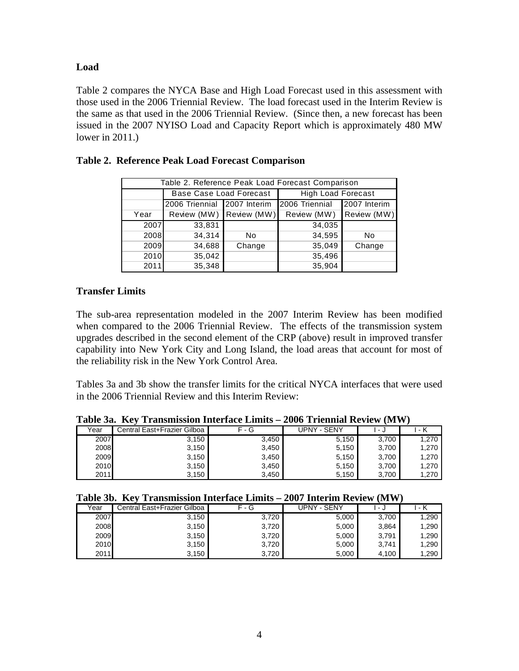#### **Load**

Table 2 compares the NYCA Base and High Load Forecast used in this assessment with those used in the 2006 Triennial Review. The load forecast used in the Interim Review is the same as that used in the 2006 Triennial Review. (Since then, a new forecast has been issued in the 2007 NYISO Load and Capacity Report which is approximately 480 MW lower in 2011.)

| Table 2. Reference Peak Load Forecast Comparison |                         |              |                           |              |
|--------------------------------------------------|-------------------------|--------------|---------------------------|--------------|
|                                                  | Base Case Load Forecast |              | <b>High Load Forecast</b> |              |
|                                                  | 2006 Triennial          | 2007 Interim | 2006 Triennial            | 2007 Interim |
| Year                                             | Review (MW) Review (MW) |              | Review (MW)               | Review (MW)  |
| 2007                                             | 33,831                  |              | 34,035                    |              |
| 2008                                             | 34,314                  | No           | 34,595                    | No           |
| 2009                                             | 34,688                  | Change       | 35,049                    | Change       |
| 2010                                             | 35,042                  |              | 35,496                    |              |
| 2011                                             | 35,348                  |              | 35,904                    |              |

## **Table 2. Reference Peak Load Forecast Comparison**

#### **Transfer Limits**

The sub-area representation modeled in the 2007 Interim Review has been modified when compared to the 2006 Triennial Review. The effects of the transmission system upgrades described in the second element of the CRP (above) result in improved transfer capability into New York City and Long Island, the load areas that account for most of the reliability risk in the New York Control Area.

Tables 3a and 3b show the transfer limits for the critical NYCA interfaces that were used in the 2006 Triennial Review and this Interim Review:

| $1$ avit Ja, TVV 11 albinissivit mittitätt Linnis – 2000 TTitimiäi Review (1917) ( |                             |       |             |       |       |
|------------------------------------------------------------------------------------|-----------------------------|-------|-------------|-------|-------|
| Year                                                                               | Central East+Frazier Gilboa | F - G | UPNY - SENY | - J   | 1 - K |
| 2007                                                                               | 3,150                       | 3,450 | 5,150       | 3.700 | 1,270 |
| 2008                                                                               | 3.150                       | 3,450 | 5,150       | 3.700 | 1,270 |
| 2009                                                                               | 3,150                       | 3,450 | 5,150       | 3.700 | 1,270 |
| 2010                                                                               | 3,150                       | 3,450 | 5,150       | 3.700 | 1,270 |
| 2011                                                                               | 3,150                       | 3,450 | 5,150       | 3,700 | 1,270 |

**Table 3a. Key Transmission Interface Limits – 2006 Triennial Review (MW)** 

#### **Table 3b. Key Transmission Interface Limits – 2007 Interim Review (MW)**

| Year | Central East+Frazier Gilboa | - G<br>E. | UPNY - SENY | ل -   | - K   |
|------|-----------------------------|-----------|-------------|-------|-------|
| 2007 | 3,150                       | 3,720     | 5,000       | 3,700 | 1,290 |
| 2008 | 3,150                       | 3,720     | 5,000       | 3,864 | 1,290 |
| 2009 | 3,150                       | 3,720     | 5,000       | 3,791 | 1,290 |
| 2010 | 3,150                       | 3,720     | 5,000       | 3,741 | 1,290 |
| 2011 | 3,150                       | 3,720     | 5,000       | 4,100 | 1,290 |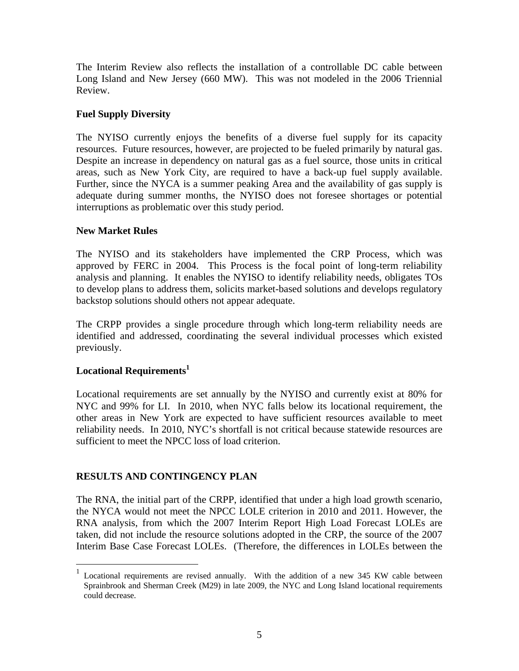The Interim Review also reflects the installation of a controllable DC cable between Long Island and New Jersey (660 MW). This was not modeled in the 2006 Triennial Review.

## **Fuel Supply Diversity**

The NYISO currently enjoys the benefits of a diverse fuel supply for its capacity resources. Future resources, however, are projected to be fueled primarily by natural gas. Despite an increase in dependency on natural gas as a fuel source, those units in critical areas, such as New York City, are required to have a back-up fuel supply available. Further, since the NYCA is a summer peaking Area and the availability of gas supply is adequate during summer months, the NYISO does not foresee shortages or potential interruptions as problematic over this study period.

#### **New Market Rules**

The NYISO and its stakeholders have implemented the CRP Process, which was approved by FERC in 2004. This Process is the focal point of long-term reliability analysis and planning. It enables the NYISO to identify reliability needs, obligates TOs to develop plans to address them, solicits market-based solutions and develops regulatory backstop solutions should others not appear adequate.

The CRPP provides a single procedure through which long-term reliability needs are identified and addressed, coordinating the several individual processes which existed previously.

## Locational Requirements<sup>1</sup>

 $\overline{a}$ 

Locational requirements are set annually by the NYISO and currently exist at 80% for NYC and 99% for LI. In 2010, when NYC falls below its locational requirement, the other areas in New York are expected to have sufficient resources available to meet reliability needs. In 2010, NYC's shortfall is not critical because statewide resources are sufficient to meet the NPCC loss of load criterion.

## **RESULTS AND CONTINGENCY PLAN**

The RNA, the initial part of the CRPP, identified that under a high load growth scenario, the NYCA would not meet the NPCC LOLE criterion in 2010 and 2011. However, the RNA analysis, from which the 2007 Interim Report High Load Forecast LOLEs are taken, did not include the resource solutions adopted in the CRP, the source of the 2007 Interim Base Case Forecast LOLEs. (Therefore, the differences in LOLEs between the

<sup>1</sup> Locational requirements are revised annually. With the addition of a new 345 KW cable between Sprainbrook and Sherman Creek (M29) in late 2009, the NYC and Long Island locational requirements could decrease.